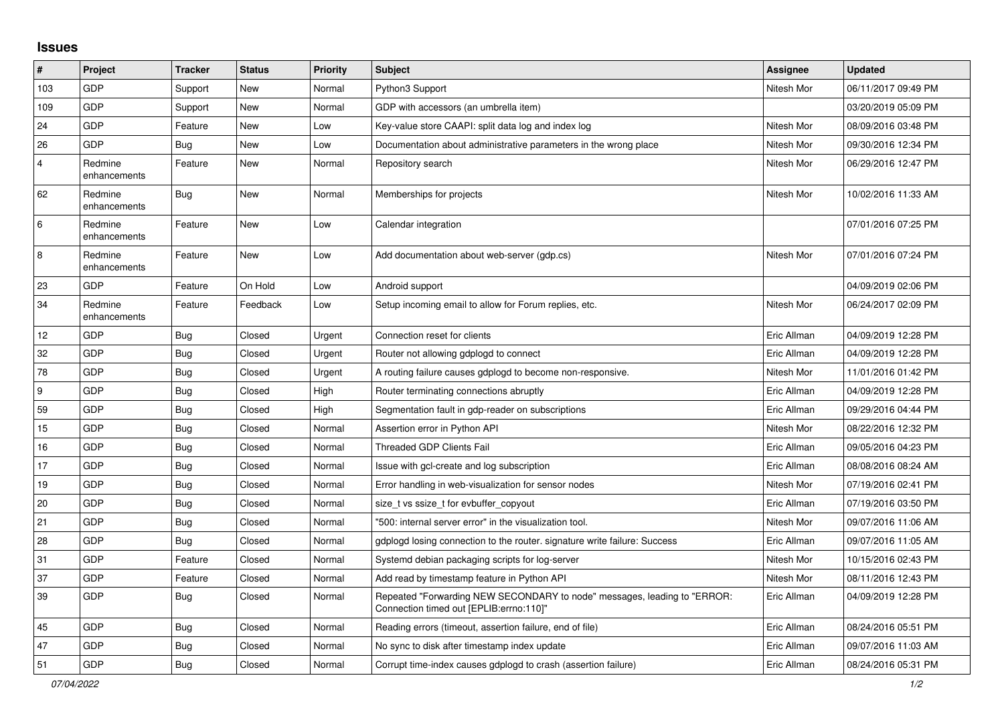## **Issues**

| #              | Project                 | <b>Tracker</b> | <b>Status</b> | <b>Priority</b> | <b>Subject</b>                                                                                                      | <b>Assignee</b> | <b>Updated</b>      |
|----------------|-------------------------|----------------|---------------|-----------------|---------------------------------------------------------------------------------------------------------------------|-----------------|---------------------|
| 103            | <b>GDP</b>              | Support        | New           | Normal          | Python3 Support                                                                                                     | Nitesh Mor      | 06/11/2017 09:49 PM |
| 109            | <b>GDP</b>              | Support        | New           | Normal          | GDP with accessors (an umbrella item)                                                                               |                 | 03/20/2019 05:09 PM |
| 24             | <b>GDP</b>              | Feature        | New           | Low             | Key-value store CAAPI: split data log and index log                                                                 | Nitesh Mor      | 08/09/2016 03:48 PM |
| 26             | <b>GDP</b>              | Bug            | New           | Low             | Documentation about administrative parameters in the wrong place                                                    | Nitesh Mor      | 09/30/2016 12:34 PM |
| $\overline{4}$ | Redmine<br>enhancements | Feature        | New           | Normal          | Repository search                                                                                                   | Nitesh Mor      | 06/29/2016 12:47 PM |
| 62             | Redmine<br>enhancements | Bug            | New           | Normal          | Memberships for projects                                                                                            | Nitesh Mor      | 10/02/2016 11:33 AM |
| 6              | Redmine<br>enhancements | Feature        | New           | Low             | Calendar integration                                                                                                |                 | 07/01/2016 07:25 PM |
| 8              | Redmine<br>enhancements | Feature        | New           | Low             | Add documentation about web-server (gdp.cs)                                                                         | Nitesh Mor      | 07/01/2016 07:24 PM |
| 23             | GDP                     | Feature        | On Hold       | Low             | Android support                                                                                                     |                 | 04/09/2019 02:06 PM |
| 34             | Redmine<br>enhancements | Feature        | Feedback      | Low             | Setup incoming email to allow for Forum replies, etc.                                                               | Nitesh Mor      | 06/24/2017 02:09 PM |
| 12             | <b>GDP</b>              | <b>Bug</b>     | Closed        | Urgent          | Connection reset for clients                                                                                        | Eric Allman     | 04/09/2019 12:28 PM |
| 32             | <b>GDP</b>              | Bug            | Closed        | Urgent          | Router not allowing gdplogd to connect                                                                              | Eric Allman     | 04/09/2019 12:28 PM |
| 78             | GDP                     | Bug            | Closed        | Urgent          | A routing failure causes gdplogd to become non-responsive.                                                          | Nitesh Mor      | 11/01/2016 01:42 PM |
| 9              | GDP                     | <b>Bug</b>     | Closed        | High            | Router terminating connections abruptly                                                                             | Eric Allman     | 04/09/2019 12:28 PM |
| 59             | <b>GDP</b>              | <b>Bug</b>     | Closed        | High            | Segmentation fault in gdp-reader on subscriptions                                                                   | Eric Allman     | 09/29/2016 04:44 PM |
| 15             | <b>GDP</b>              | <b>Bug</b>     | Closed        | Normal          | Assertion error in Python API                                                                                       | Nitesh Mor      | 08/22/2016 12:32 PM |
| 16             | <b>GDP</b>              | <b>Bug</b>     | Closed        | Normal          | <b>Threaded GDP Clients Fail</b>                                                                                    | Eric Allman     | 09/05/2016 04:23 PM |
| 17             | GDP                     | <b>Bug</b>     | Closed        | Normal          | Issue with gcl-create and log subscription                                                                          | Eric Allman     | 08/08/2016 08:24 AM |
| 19             | <b>GDP</b>              | <b>Bug</b>     | Closed        | Normal          | Error handling in web-visualization for sensor nodes                                                                | Nitesh Mor      | 07/19/2016 02:41 PM |
| 20             | <b>GDP</b>              | Bug            | Closed        | Normal          | size_t vs ssize_t for evbuffer_copyout                                                                              | Eric Allman     | 07/19/2016 03:50 PM |
| 21             | GDP                     | <b>Bug</b>     | Closed        | Normal          | "500: internal server error" in the visualization tool.                                                             | Nitesh Mor      | 09/07/2016 11:06 AM |
| 28             | <b>GDP</b>              | <b>Bug</b>     | Closed        | Normal          | gdplogd losing connection to the router, signature write failure: Success                                           | Eric Allman     | 09/07/2016 11:05 AM |
| 31             | GDP                     | Feature        | Closed        | Normal          | Systemd debian packaging scripts for log-server                                                                     | Nitesh Mor      | 10/15/2016 02:43 PM |
| 37             | <b>GDP</b>              | Feature        | Closed        | Normal          | Add read by timestamp feature in Python API                                                                         | Nitesh Mor      | 08/11/2016 12:43 PM |
| 39             | <b>GDP</b>              | Bug            | Closed        | Normal          | Repeated "Forwarding NEW SECONDARY to node" messages, leading to "ERROR:<br>Connection timed out [EPLIB:errno:110]" | Eric Allman     | 04/09/2019 12:28 PM |
| 45             | <b>GDP</b>              | <b>Bug</b>     | Closed        | Normal          | Reading errors (timeout, assertion failure, end of file)                                                            | Eric Allman     | 08/24/2016 05:51 PM |
| 47             | GDP                     | Bug            | Closed        | Normal          | No sync to disk after timestamp index update                                                                        | Eric Allman     | 09/07/2016 11:03 AM |
| 51             | <b>GDP</b>              | Bug            | Closed        | Normal          | Corrupt time-index causes gdplogd to crash (assertion failure)                                                      | Eric Allman     | 08/24/2016 05:31 PM |